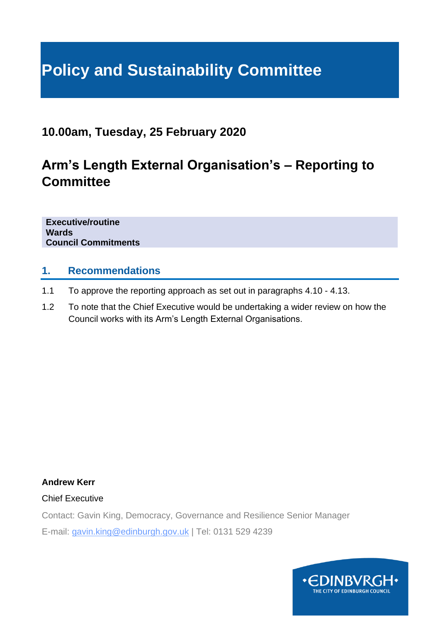# **Policy and Sustainability Committee**

### **10.00am, Tuesday, 25 February 2020**

# **Arm's Length External Organisation's – Reporting to Committee**

**Executive/routine Wards Council Commitments**

#### **1. Recommendations**

- 1.1 To approve the reporting approach as set out in paragraphs 4.10 4.13.
- 1.2 To note that the Chief Executive would be undertaking a wider review on how the Council works with its Arm's Length External Organisations.

**Andrew Kerr**

Chief Executive

Contact: Gavin King, Democracy, Governance and Resilience Senior Manager

E-mail: gavin.king@edinburgh.gov.uk | Tel: 0131 529 4239

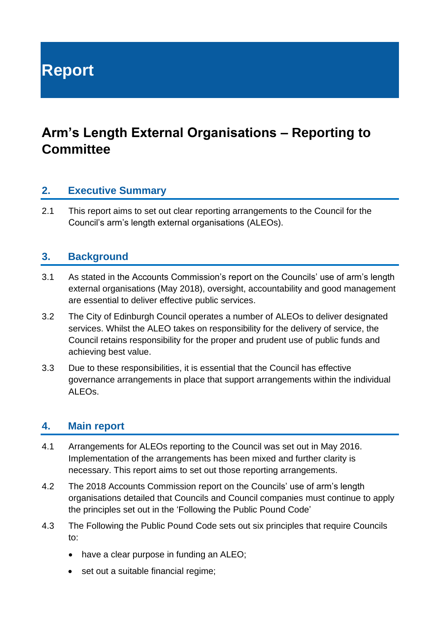**Report**

## **Arm's Length External Organisations – Reporting to Committee**

#### **2. Executive Summary**

2.1 This report aims to set out clear reporting arrangements to the Council for the Council's arm's length external organisations (ALEOs).

#### **3. Background**

- 3.1 As stated in the Accounts Commission's report on the Councils' use of arm's length external organisations (May 2018), oversight, accountability and good management are essential to deliver effective public services.
- 3.2 The City of Edinburgh Council operates a number of ALEOs to deliver designated services. Whilst the ALEO takes on responsibility for the delivery of service, the Council retains responsibility for the proper and prudent use of public funds and achieving best value.
- 3.3 Due to these responsibilities, it is essential that the Council has effective governance arrangements in place that support arrangements within the individual ALEOs.

#### **4. Main report**

- 4.1 Arrangements for ALEOs reporting to the Council was set out in May 2016. Implementation of the arrangements has been mixed and further clarity is necessary. This report aims to set out those reporting arrangements.
- 4.2 The 2018 Accounts Commission report on the Councils' use of arm's length organisations detailed that Councils and Council companies must continue to apply the principles set out in the 'Following the Public Pound Code'
- 4.3 The Following the Public Pound Code sets out six principles that require Councils to:
	- have a clear purpose in funding an ALEO;
	- set out a suitable financial regime;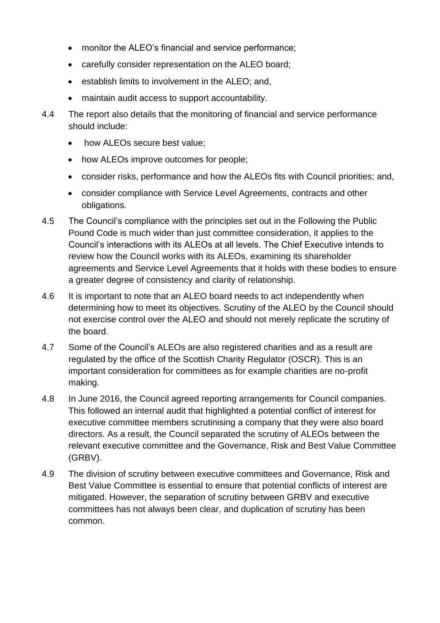- monitor the ALEO's financial and service performance;
- carefully consider representation on the ALEO board;
- establish limits to involvement in the ALEO; and,
- maintain audit access to support accountability.
- 4.4 The report also details that the monitoring of financial and service performance should include:
	- how ALEOs secure best value;
	- how ALEOs improve outcomes for people;
	- consider risks, performance and how the ALEOs fits with Council priorities; and,
	- consider compliance with Service Level Agreements, contracts and other obligations.
- 4.5 The Council's compliance with the principles set out in the Following the Public Pound Code is much wider than just committee consideration, it applies to the Council's interactions with its ALEOs at all levels. The Chief Executive intends to review how the Council works with its ALEOs, examining its shareholder agreements and Service Level Agreements that it holds with these bodies to ensure a greater degree of consistency and clarity of relationship.
- 4.6 It is important to note that an ALEO board needs to act independently when determining how to meet its objectives. Scrutiny of the ALEO by the Council should not exercise control over the ALEO and should not merely replicate the scrutiny of the board.
- 4.7 Some of the Council's ALEOs are also registered charities and as a result are regulated by the office of the Scottish Charity Regulator (OSCR). This is an important consideration for committees as for example charities are no-profit making.
- 4.8 In June 2016, the Council agreed reporting arrangements for Council companies. This followed an internal audit that highlighted a potential conflict of interest for executive committee members scrutinising a company that they were also board directors. As a result, the Council separated the scrutiny of ALEOs between the relevant executive committee and the Governance, Risk and Best Value Committee (GRBV).
- 4.9 The division of scrutiny between executive committees and Governance, Risk and Best Value Committee is essential to ensure that potential conflicts of interest are mitigated. However, the separation of scrutiny between GRBV and executive committees has not always been clear, and duplication of scrutiny has been common.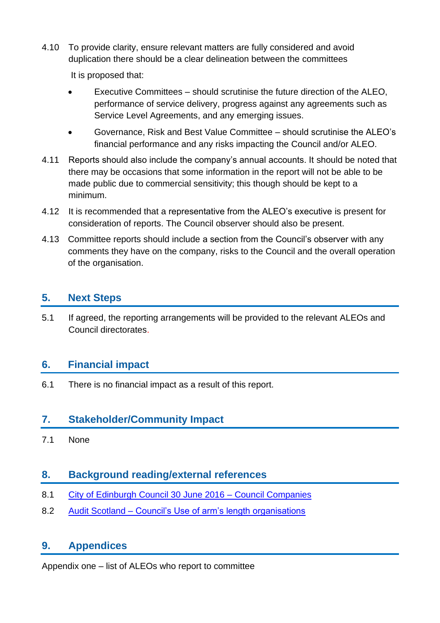4.10 To provide clarity, ensure relevant matters are fully considered and avoid duplication there should be a clear delineation between the committees

It is proposed that:

- Executive Committees should scrutinise the future direction of the ALEO, performance of service delivery, progress against any agreements such as Service Level Agreements, and any emerging issues.
- Governance, Risk and Best Value Committee should scrutinise the ALEO's financial performance and any risks impacting the Council and/or ALEO.
- 4.11 Reports should also include the company's annual accounts. It should be noted that there may be occasions that some information in the report will not be able to be made public due to commercial sensitivity; this though should be kept to a minimum.
- 4.12 It is recommended that a representative from the ALEO's executive is present for consideration of reports. The Council observer should also be present.
- 4.13 Committee reports should include a section from the Council's observer with any comments they have on the company, risks to the Council and the overall operation of the organisation.

#### **5. Next Steps**

5.1 If agreed, the reporting arrangements will be provided to the relevant ALEOs and Council directorates.

#### **6. Financial impact**

6.1 There is no financial impact as a result of this report.

#### **7. Stakeholder/Community Impact**

7.1 None

#### **8. Background reading/external references**

- 8.1 [City of Edinburgh Council 30 June 2016 –](https://democracy.edinburgh.gov.uk/Data/City%20of%20Edinburgh%20Council/20160630/Agenda/item_82_-_council_companies.pdf) Council Companies
- 8.2 Audit Scotland [Council's Use of arm's length organisations](https://www.audit-scotland.gov.uk/uploads/docs/report/2018/nr_180518_councils_aleos.pdf)

#### **9. Appendices**

Appendix one – list of ALEOs who report to committee